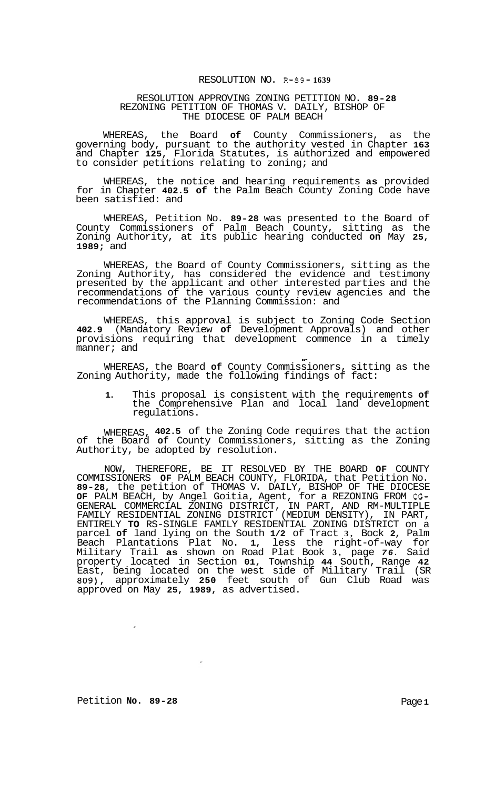## RESOLUTION NO. **R-89- 1639**

## RESOLUTION APPROVING ZONING PETITION NO. **89-28**  REZONING PETITION OF THOMAS V. DAILY, BISHOP OF THE DIOCESE OF PALM BEACH

WHEREAS, the Board **of** County Commissioners, as the governing body, pursuant to the authority vested in Chapter **163**  and Chapter **125,** Florida Statutes, is authorized and empowered to consider petitions relating to zoning; and

WHEREAS, the notice and hearing requirements **as** provided for in Chapter **402.5 of** the Palm Beach County Zoning Code have been satisfied: and

WHEREAS, Petition No. **89-28** was presented to the Board of County Commissioners of Palm Beach County, sitting as the Zoning Authority, at its public hearing conducted **on** May **25, 1989;** and

WHEREAS, the Board of County Commissioners, sitting as the Zoning Authority, has considered the evidence and testimony presented by the applicant and other interested parties and the recommendations of the various county review agencies and the recommendations of the Planning Commission: and

WHEREAS, this approval is subject to Zoning Code Section **402.9** (Mandatory Review **of** Development Approvals) and other provisions requiring that development commence in a timely manner; and manner; and  $\frac{1}{2}$  and  $\frac{1}{2}$  and  $\frac{1}{2}$  and  $\frac{1}{2}$  and  $\frac{1}{2}$  and  $\frac{1}{2}$  and  $\frac{1}{2}$  and  $\frac{1}{2}$  and  $\frac{1}{2}$  and  $\frac{1}{2}$  and  $\frac{1}{2}$  and  $\frac{1}{2}$  and  $\frac{1}{2}$  and  $\frac{1}{2}$  and  $\frac{1}{2}$  and

WHEREAS, the Board **of** County Commissioners, sitting as the Zoning Authority, made the following findings of fact:

**1.** This proposal is consistent with the requirements **of**  the Comprehensive Plan and local land development regulations.

WHEREAS, **402.5** of the Zoning Code requires that the action of the Board **of** County Commissioners, sitting as the Zoning Authority, be adopted by resolution.

NOW, THEREFORE, BE IT RESOLVED BY THE BOARD **OF** COUNTY COMMISSIONERS **OF** PALM BEACH COUNTY, FLORIDA, that Petition No. **89-28,** the petition of THOMAS V. DAILY, BISHOP OF THE DIOCESE **OF** PALM BEACH, by Angel Goitia, Agent, for a REZONING FROM CG-GENERAL COMMERCIAL ZONING DISTRICT, IN PART, AND RM-MULTIPLE FAMILY RESIDENTIAL ZONING DISTRICT (MEDIUM DENSITY), IN PART, ENTIRELY **TO** RS-SINGLE FAMILY RESIDENTIAL ZONING DISTRICT on a parcel **of** land lying on the South **1/2** of Tract **3,** Bock **2,** Palm Beach Plantations Plat No. **1,** less the right-of-way for Military Trail **as** shown on Road Plat Book **3,** page *76.* Said property located in Section **01,** Township **44** South, Range **42**  East, being located on the west side of Military Trail (SR **809),** approximately **250** feet south of Gun Club Road was approved on May **25, 1989,** as advertised.

 $\bar{\star}$